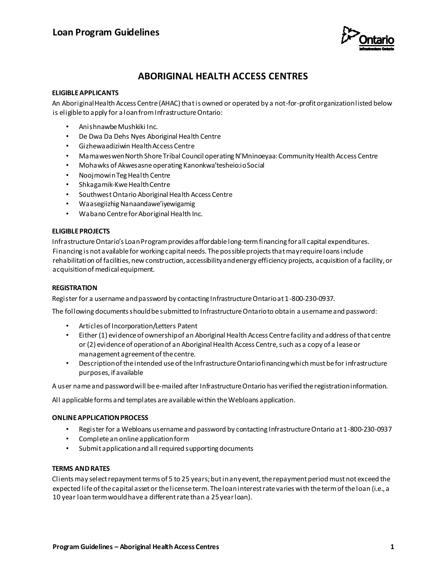

# **ABORIGINAL HEALTH ACCESS CENTRES**

## **ELIGIBLE APPLICANTS**

An Aboriginal Health Access Centre (AHAC) that is owned or operated by a not-for-profit organization listed below is eligible to apply for a loan from Infrastructure Ontario:

- Anishnawbe Mushkiki Inc.
- De Dwa Da Dehs Nyes Aboriginal Health Centre
- Gizhewaadiziwin Health Access Centre
- Mamaweswen North Shore Tribal Council operating N'Mninoeyaa: Community Health Access Centre
- Mohawks of Akwesasne operating Kanonkwa'tesheio:io Social
- NoojmowinTeg Health Centre
- Shkagamik-Kwe Health Centre
- Southwest Ontario Aboriginal Health Access Centre
- Waasegiizhig Nanaandawe'iyewigamig
- Wabano Centre for Aboriginal Health Inc.

## **ELIGIBLE PROJECTS**

Infrastructure Ontario's Loan Program provides affordable long-term financing for all capital expenditures. Financing is not available for working capital needs. The possible projects that may require loans include rehabilitation of facilities, new construction, accessibility and energy efficiency projects, acquisition of a facility, or acquisition of medical equipment.

## **REGISTRATION**

Register for a username and password by contacting Infrastructure Ontario at 1-800-230-0937.

The following documents should be submitted to Infrastructure Ontario to obtain a username and password:

- Articles of Incorporation/Letters Patent
- Either (1) evidence of ownership of an Aboriginal Health Access Centre facility and address of that centre or (2) evidence of operation of an Aboriginal Health Access Centre, such as a copy of a lease or management agreement of the centre.
- Description of the intended use of the Infrastructure Ontario financing which must be for infrastructure purposes, if available

A user name and password will be e-mailed after Infrastructure Ontario has verified the registration information.

All applicable forms and templates are available within the Webloans application.

## **ONLINE APPLICATION PROCESS**

- Register for a Webloans username and password by contacting Infrastructure Ontario at 1-800-230-0937
- Complete an online application form
- Submit application and all required supporting documents

## **TERMS AND RATES**

Clients may select repayment terms of 5 to 25 years; but in any event, the repayment period must not exceed the expected life of the capital asset or the license term. The loan interest rate varies with the term of the loan (i.e., a 10 year loan term would have a different rate than a 25 year loan).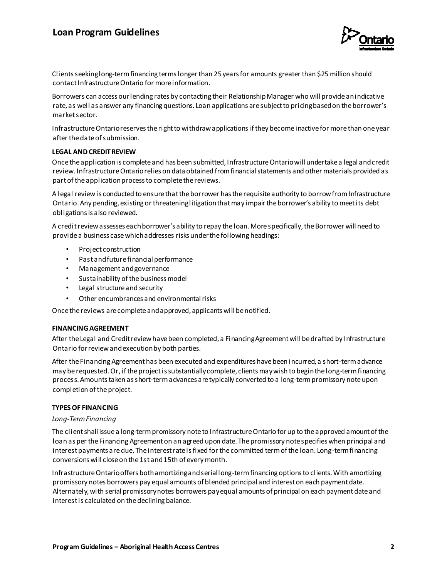# **Loan Program Guidelines**



Clients seekinglong-term financing terms longer than 25 years for amounts greater than \$25 million should contact Infrastructure Ontario for more information.

Borrowers can access our lending rates by contacting their Relationship Manager who will provide an indicative rate, as well as answer any financing questions. Loan applications are subject to pricing based on the borrower's market sector.

Infrastructure Ontario reserves the right to withdraw applications if they become inactive for more than one year after the date of submission.

### **LEGAL AND CREDIT REVIEW**

Once the application is complete and has been submitted, Infrastructure Ontario will undertake a legal and credit review. Infrastructure Ontario relies on data obtained from financial statements and other materials provided as part of the application process to complete the reviews.

A legal review is conducted to ensure that the borrower has the requisite authority to borrow from Infrastructure Ontario. Any pending, existing or threatening litigation that may impair the borrower's ability to meet its debt obligations is also reviewed.

A credit review assesses each borrower's ability to repay the loan. More specifically, the Borrower will need to provide a business case which addresses risks under the following headings:

- Project construction
- Past and future financial performance
- Management and governance
- Sustainability of the business model
- Legal structure and security
- Other encumbrances and environmental risks

Once the reviews are complete and approved, applicants will be notified.

### **FINANCING AGREEMENT**

After the Legal and Credit review have been completed, a Financing Agreement will be drafted by Infrastructure Ontario for review and execution by both parties.

After the Financing Agreement has been executed and expenditures have been incurred, a short-term advance may be requested. Or, if the project is substantially complete, clients may wish to begin the long-term financing process. Amounts taken as short-term advances are typically converted to a long-term promissory note upon completion of the project.

#### **TYPES OF FINANCING**

#### *Long-Term Financing*

The client shall issue a long-term promissory note to Infrastructure Ontario for up to the approved amount of the loan as per the Financing Agreement on an agreed upon date. The promissory note specifies when principal and interest payments are due. The interest rate is fixed for the committed term of the loan. Long-term financing conversions will close on the 1st and 15th of every month.

Infrastructure Ontario offers both amortizing and serial long-term financing options to clients. With amortizing promissory notes borrowers pay equal amounts of blended principal and interest on each payment date. Alternately, with serial promissory notes borrowers pay equal amounts of principal on each payment date and interest is calculated on the declining balance.